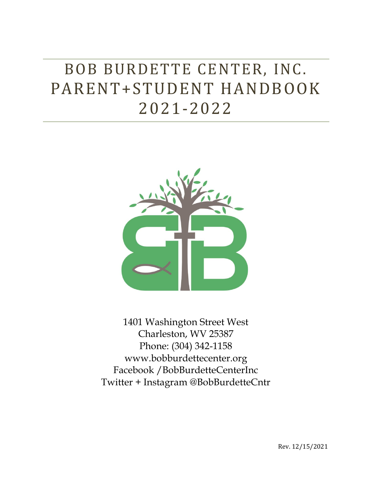# BOB BURDETTE CENTER, INC. PARENT+STUDENT HANDBOOK 2021-2022



1401 Washington Street West Charleston, WV 25387 Phone: (304) 342-1158 www.bobburdettecenter.org Facebook /BobBurdetteCenterInc Twitter + Instagram @BobBurdetteCntr

Rev. 12/15/2021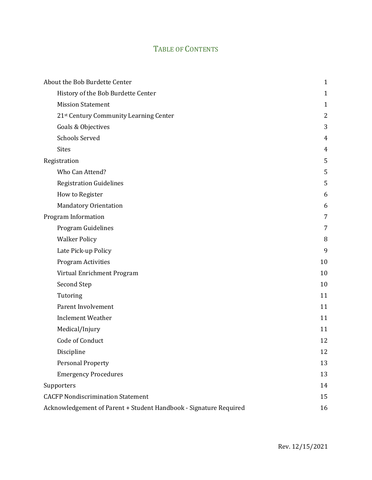## TABLE OF CONTENTS

| About the Bob Burdette Center                                     | $\mathbf{1}$   |
|-------------------------------------------------------------------|----------------|
| History of the Bob Burdette Center                                | $\mathbf{1}$   |
| <b>Mission Statement</b>                                          | 1              |
| 21st Century Community Learning Center                            | $\overline{2}$ |
| Goals & Objectives                                                | 3              |
| <b>Schools Served</b>                                             | 4              |
| <b>Sites</b>                                                      | $\overline{4}$ |
| Registration                                                      | 5              |
| Who Can Attend?                                                   | 5              |
| <b>Registration Guidelines</b>                                    | 5              |
| How to Register                                                   | 6              |
| <b>Mandatory Orientation</b>                                      | 6              |
| Program Information                                               | 7              |
| Program Guidelines                                                | 7              |
| <b>Walker Policy</b>                                              | 8              |
| Late Pick-up Policy                                               | 9              |
| Program Activities                                                | 10             |
| Virtual Enrichment Program                                        | 10             |
| Second Step                                                       | 10             |
| Tutoring                                                          | 11             |
| Parent Involvement                                                | 11             |
| <b>Inclement Weather</b>                                          | 11             |
| Medical/Injury                                                    | 11             |
| Code of Conduct                                                   | 12             |
| Discipline                                                        | 12             |
| <b>Personal Property</b>                                          | 13             |
| <b>Emergency Procedures</b>                                       | 13             |
| Supporters                                                        | 14             |
| <b>CACFP Nondiscrimination Statement</b>                          | 15             |
| Acknowledgement of Parent + Student Handbook - Signature Required | 16             |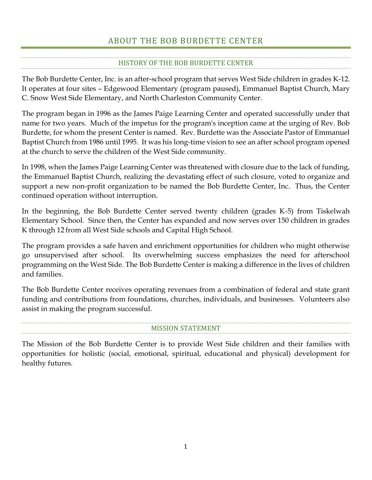## ABOUT THE BOB BURDETTE CENTER

#### HISTORY OF THE BOB BURDETTE CENTER

<span id="page-2-1"></span><span id="page-2-0"></span>The Bob Burdette Center, Inc. is an after-school program that serves West Side children in grades K-12. It operates at four sites – Edgewood Elementary (program paused), Emmanuel Baptist Church, Mary C. Snow West Side Elementary, and North Charleston Community Center.

The program began in 1996 as the James Paige Learning Center and operated successfully under that name for two years. Much of the impetus for the program's inception came at the urging of Rev. Bob Burdette, for whom the present Center is named. Rev. Burdette was the Associate Pastor of Emmanuel Baptist Church from 1986 until 1995. It was his long-time vision to see an after school program opened at the church to serve the children of the West Side community.

In 1998, when the James Paige Learning Center was threatened with closure due to the lack of funding, the Emmanuel Baptist Church, realizing the devastating effect of such closure, voted to organize and support a new non-profit organization to be named the Bob Burdette Center, Inc. Thus, the Center continued operation without interruption.

In the beginning, the Bob Burdette Center served twenty children (grades K-5) from Tiskelwah Elementary School. Since then, the Center has expanded and now serves over 150 children in grades K through 12 from all West Side schools and Capital High School.

The program provides a safe haven and enrichment opportunities for children who might otherwise go unsupervised after school. Its overwhelming success emphasizes the need for afterschool programming on the West Side. The Bob Burdette Center is making a difference in the lives of children and families.

The Bob Burdette Center receives operating revenues from a combination of federal and state grant funding and contributions from foundations, churches, individuals, and businesses. Volunteers also assist in making the program successful.

#### MISSION STATEMENT

<span id="page-2-2"></span>The Mission of the Bob Burdette Center is to provide West Side children and their families with opportunities for holistic (social, emotional, spiritual, educational and physical) development for healthy futures.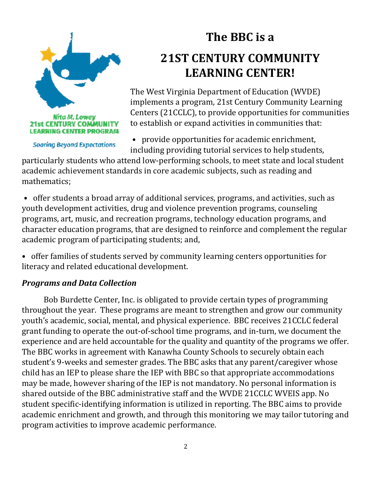<span id="page-3-0"></span>

**Soaring Beyond Expectations** 

**The BBC is a 21ST CENTURY COMMUNITY LEARNING CENTER!**

The West Virginia Department of Education (WVDE) implements a program, 21st Century Community Learning Centers (21CCLC), to provide opportunities for communities to establish or expand activities in communities that:

• provide opportunities for academic enrichment, including providing tutorial services to help students,

particularly students who attend low-performing schools, to meet state and local student academic achievement standards in core academic subjects, such as reading and mathematics;

• offer students a broad array of additional services, programs, and activities, such as youth development activities, drug and violence prevention programs, counseling programs, art, music, and recreation programs, technology education programs, and character education programs, that are designed to reinforce and complement the regular academic program of participating students; and,

• offer families of students served by community learning centers opportunities for literacy and related educational development.

## *Programs and Data Collection*

Bob Burdette Center, Inc. is obligated to provide certain types of programming throughout the year. These programs are meant to strengthen and grow our community youth's academic, social, mental, and physical experience. BBC receives 21CCLC federal grant funding to operate the out-of-school time programs, and in-turn, we document the experience and are held accountable for the quality and quantity of the programs we offer. The BBC works in agreement with Kanawha County Schools to securely obtain each student's 9-weeks and semester grades. The BBC asks that any parent/caregiver whose child has an IEP to please share the IEP with BBC so that appropriate accommodations may be made, however sharing of the IEP is not mandatory. No personal information is shared outside of the BBC administrative staff and the WVDE 21CCLC WVEIS app. No student specific-identifying information is utilized in reporting. The BBC aims to provide academic enrichment and growth, and through this monitoring we may tailor tutoring and program activities to improve academic performance.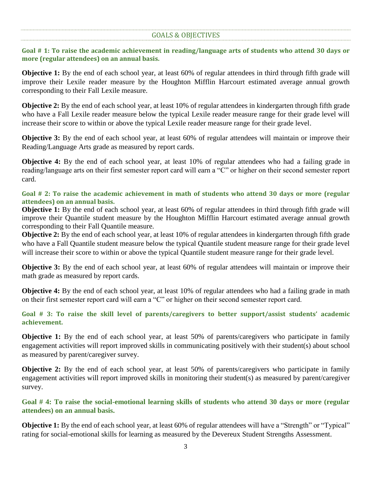#### GOALS & OBJECTIVES

**Goal # 1: To raise the academic achievement in reading/language arts of students who attend 30 days or more (regular attendees) on an annual basis.**

**Objective 1:** By the end of each school year, at least 60% of regular attendees in third through fifth grade will improve their Lexile reader measure by the Houghton Mifflin Harcourt estimated average annual growth corresponding to their Fall Lexile measure.

**Objective 2:** By the end of each school year, at least 10% of regular attendees in kindergarten through fifth grade who have a Fall Lexile reader measure below the typical Lexile reader measure range for their grade level will increase their score to within or above the typical Lexile reader measure range for their grade level.

**Objective 3:** By the end of each school year, at least 60% of regular attendees will maintain or improve their Reading/Language Arts grade as measured by report cards.

**Objective 4:** By the end of each school year, at least 10% of regular attendees who had a failing grade in reading/language arts on their first semester report card will earn a "C" or higher on their second semester report card.

**Goal # 2: To raise the academic achievement in math of students who attend 30 days or more (regular attendees) on an annual basis.**

**Objective 1:** By the end of each school year, at least 60% of regular attendees in third through fifth grade will improve their Quantile student measure by the Houghton Mifflin Harcourt estimated average annual growth corresponding to their Fall Quantile measure.

**Objective 2:** By the end of each school year, at least 10% of regular attendees in kindergarten through fifth grade who have a Fall Quantile student measure below the typical Quantile student measure range for their grade level will increase their score to within or above the typical Quantile student measure range for their grade level.

**Objective 3:** By the end of each school year, at least 60% of regular attendees will maintain or improve their math grade as measured by report cards.

**Objective 4:** By the end of each school year, at least 10% of regular attendees who had a failing grade in math on their first semester report card will earn a "C" or higher on their second semester report card.

**Goal # 3: To raise the skill level of parents/caregivers to better support/assist students' academic achievement.**

**Objective 1:** By the end of each school year, at least 50% of parents/caregivers who participate in family engagement activities will report improved skills in communicating positively with their student(s) about school as measured by parent/caregiver survey.

**Objective 2:** By the end of each school year, at least 50% of parents/caregivers who participate in family engagement activities will report improved skills in monitoring their student(s) as measured by parent/caregiver survey.

**Goal # 4: To raise the social-emotional learning skills of students who attend 30 days or more (regular attendees) on an annual basis.**

**Objective 1:** By the end of each school year, at least 60% of regular attendees will have a "Strength" or "Typical" rating for social-emotional skills for learning as measured by the Devereux Student Strengths Assessment.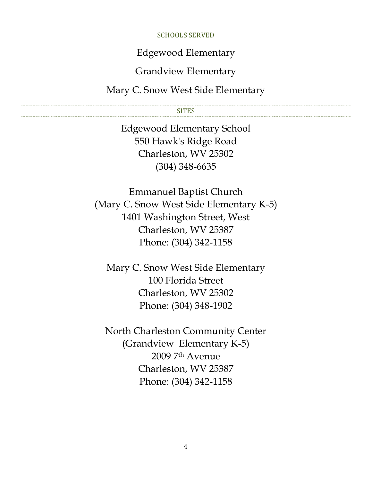#### SCHOOLS SERVED

#### Edgewood Elementary

## Grandview Elementary

<span id="page-5-1"></span><span id="page-5-0"></span>Mary C. Snow West Side Elementary

#### SITES

Edgewood Elementary School 550 Hawk's Ridge Road Charleston, WV 25302 (304) 348-6635

Emmanuel Baptist Church (Mary C. Snow West Side Elementary K-5) 1401 Washington Street, West Charleston, WV 25387 Phone: (304) 342-1158

Mary C. Snow West Side Elementary 100 Florida Street Charleston, WV 25302 Phone: (304) 348-1902

North Charleston Community Center (Grandview Elementary K-5) 2009 7th Avenue Charleston, WV 25387 Phone: (304) 342-1158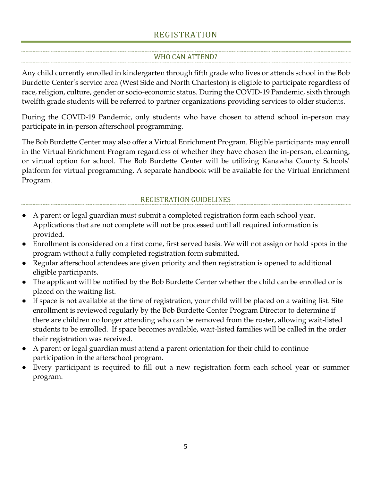### REGISTRATION

#### WHO CAN ATTEND?

<span id="page-6-1"></span><span id="page-6-0"></span>Any child currently enrolled in kindergarten through fifth grade who lives or attends school in the Bob Burdette Center's service area (West Side and North Charleston) is eligible to participate regardless of race, religion, culture, gender or socio-economic status. During the COVID-19 Pandemic, sixth through twelfth grade students will be referred to partner organizations providing services to older students.

During the COVID-19 Pandemic, only students who have chosen to attend school in-person may participate in in-person afterschool programming.

The Bob Burdette Center may also offer a Virtual Enrichment Program. Eligible participants may enroll in the Virtual Enrichment Program regardless of whether they have chosen the in-person, eLearning, or virtual option for school. The Bob Burdette Center will be utilizing Kanawha County Schools' platform for virtual programming. A separate handbook will be available for the Virtual Enrichment Program.

#### REGISTRATION GUIDELINES

- <span id="page-6-2"></span>A parent or legal guardian must submit a completed registration form each school year. Applications that are not complete will not be processed until all required information is provided.
- Enrollment is considered on a first come, first served basis. We will not assign or hold spots in the program without a fully completed registration form submitted.
- Regular afterschool attendees are given priority and then registration is opened to additional eligible participants.
- The applicant will be notified by the Bob Burdette Center whether the child can be enrolled or is placed on the waiting list.
- If space is not available at the time of registration, your child will be placed on a waiting list. Site enrollment is reviewed regularly by the Bob Burdette Center Program Director to determine if there are children no longer attending who can be removed from the roster, allowing wait-listed students to be enrolled. If space becomes available, wait-listed families will be called in the order their registration was received.
- A parent or legal guardian <u>must</u> attend a parent orientation for their child to continue participation in the afterschool program.
- Every participant is required to fill out a new registration form each school year or summer program.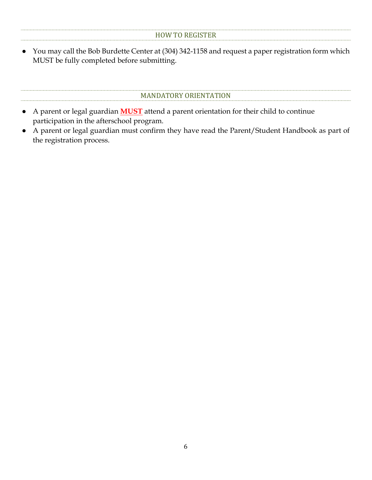<span id="page-7-0"></span>● You may call the Bob Burdette Center at (304) 342-1158 and request a paper registration form which MUST be fully completed before submitting.

#### MANDATORY ORIENTATION

- <span id="page-7-1"></span>● A parent or legal guardian **MUST** attend a parent orientation for their child to continue participation in the afterschool program.
- A parent or legal guardian must confirm they have read the Parent/Student Handbook as part of the registration process.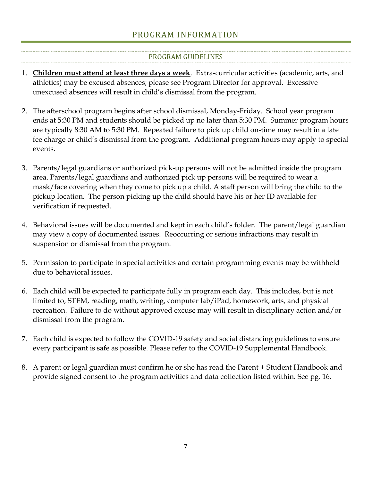## PROGRAM INFORMATION

#### PROGRAM GUIDELINES

- <span id="page-8-1"></span><span id="page-8-0"></span>1. **Children must attend at least three days a week**. Extra-curricular activities (academic, arts, and athletics) may be excused absences; please see Program Director for approval. Excessive unexcused absences will result in child's dismissal from the program.
- 2. The afterschool program begins after school dismissal, Monday-Friday. School year program ends at 5:30 PM and students should be picked up no later than 5:30 PM. Summer program hours are typically 8:30 AM to 5:30 PM. Repeated failure to pick up child on-time may result in a late fee charge or child's dismissal from the program. Additional program hours may apply to special events.
- 3. Parents/legal guardians or authorized pick-up persons will not be admitted inside the program area. Parents/legal guardians and authorized pick up persons will be required to wear a mask/face covering when they come to pick up a child. A staff person will bring the child to the pickup location. The person picking up the child should have his or her ID available for verification if requested.
- 4. Behavioral issues will be documented and kept in each child's folder. The parent/legal guardian may view a copy of documented issues. Reoccurring or serious infractions may result in suspension or dismissal from the program.
- 5. Permission to participate in special activities and certain programming events may be withheld due to behavioral issues.
- 6. Each child will be expected to participate fully in program each day. This includes, but is not limited to, STEM, reading, math, writing, computer lab/iPad, homework, arts, and physical recreation. Failure to do without approved excuse may will result in disciplinary action and/or dismissal from the program.
- 7. Each child is expected to follow the COVID-19 safety and social distancing guidelines to ensure every participant is safe as possible. Please refer to the COVID-19 Supplemental Handbook.
- 8. A parent or legal guardian must confirm he or she has read the Parent + Student Handbook and provide signed consent to the program activities and data collection listed within. See pg. 16.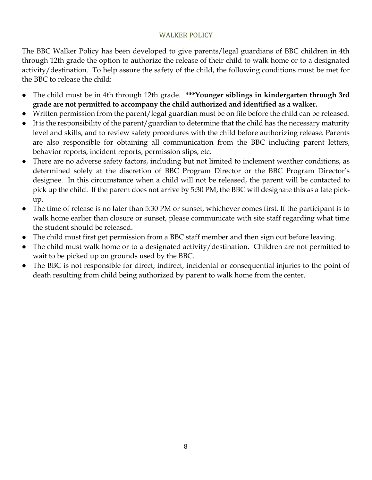<span id="page-9-0"></span>The BBC Walker Policy has been developed to give parents/legal guardians of BBC children in 4th through 12th grade the option to authorize the release of their child to walk home or to a designated activity/destination. To help assure the safety of the child, the following conditions must be met for the BBC to release the child:

- The child must be in 4th through 12th grade. **\*\*\*Younger siblings in kindergarten through 3rd grade are not permitted to accompany the child authorized and identified as a walker.**
- Written permission from the parent/legal guardian must be on file before the child can be released.
- It is the responsibility of the parent/guardian to determine that the child has the necessary maturity level and skills, and to review safety procedures with the child before authorizing release. Parents are also responsible for obtaining all communication from the BBC including parent letters, behavior reports, incident reports, permission slips, etc.
- There are no adverse safety factors, including but not limited to inclement weather conditions, as determined solely at the discretion of BBC Program Director or the BBC Program Director's designee. In this circumstance when a child will not be released, the parent will be contacted to pick up the child. If the parent does not arrive by 5:30 PM, the BBC will designate this as a late pickup.
- The time of release is no later than 5:30 PM or sunset, whichever comes first. If the participant is to walk home earlier than closure or sunset, please communicate with site staff regarding what time the student should be released.
- The child must first get permission from a BBC staff member and then sign out before leaving.
- The child must walk home or to a designated activity/destination. Children are not permitted to wait to be picked up on grounds used by the BBC.
- The BBC is not responsible for direct, indirect, incidental or consequential injuries to the point of death resulting from child being authorized by parent to walk home from the center.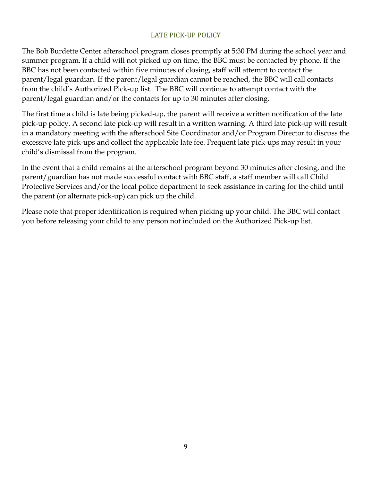#### LATE PICK-UP POLICY

<span id="page-10-0"></span>The Bob Burdette Center afterschool program closes promptly at 5:30 PM during the school year and summer program. If a child will not picked up on time, the BBC must be contacted by phone. If the BBC has not been contacted within five minutes of closing, staff will attempt to contact the parent/legal guardian. If the parent/legal guardian cannot be reached, the BBC will call contacts from the child's Authorized Pick-up list. The BBC will continue to attempt contact with the parent/legal guardian and/or the contacts for up to 30 minutes after closing.

The first time a child is late being picked-up, the parent will receive a written notification of the late pick-up policy. A second late pick-up will result in a written warning. A third late pick-up will result in a mandatory meeting with the afterschool Site Coordinator and/or Program Director to discuss the excessive late pick-ups and collect the applicable late fee. Frequent late pick-ups may result in your child's dismissal from the program.

In the event that a child remains at the afterschool program beyond 30 minutes after closing, and the parent/guardian has not made successful contact with BBC staff, a staff member will call Child Protective Services and/or the local police department to seek assistance in caring for the child until the parent (or alternate pick-up) can pick up the child.

Please note that proper identification is required when picking up your child. The BBC will contact you before releasing your child to any person not included on the Authorized Pick-up list.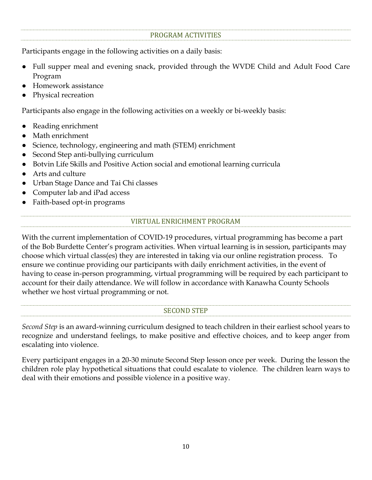#### PROGRAM ACTIVITIES

<span id="page-11-0"></span>Participants engage in the following activities on a daily basis:

- Full supper meal and evening snack, provided through the WVDE Child and Adult Food Care Program
- Homework assistance
- Physical recreation

Participants also engage in the following activities on a weekly or bi-weekly basis:

- Reading enrichment
- Math enrichment
- Science, technology, engineering and math (STEM) enrichment
- Second Step anti-bullying curriculum
- Botvin Life Skills and Positive Action social and emotional learning curricula
- Arts and culture
- Urban Stage Dance and Tai Chi classes
- Computer lab and iPad access
- <span id="page-11-1"></span>Faith-based opt-in programs

#### VIRTUAL ENRICHMENT PROGRAM

With the current implementation of COVID-19 procedures, virtual programming has become a part of the Bob Burdette Center's program activities. When virtual learning is in session, participants may choose which virtual class(es) they are interested in taking via our online registration process. To ensure we continue providing our participants with daily enrichment activities, in the event of having to cease in-person programming, virtual programming will be required by each participant to account for their daily attendance. We will follow in accordance with Kanawha County Schools whether we host virtual programming or not.

#### SECOND STEP

<span id="page-11-2"></span>*Second Step* is an award-winning curriculum designed to teach children in their earliest school years to recognize and understand feelings, to make positive and effective choices, and to keep anger from escalating into violence.

Every participant engages in a 20-30 minute Second Step lesson once per week. During the lesson the children role play hypothetical situations that could escalate to violence. The children learn ways to deal with their emotions and possible violence in a positive way.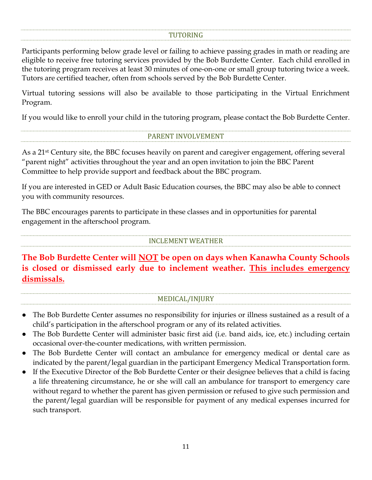#### TUTORING

<span id="page-12-0"></span>Participants performing below grade level or failing to achieve passing grades in math or reading are eligible to receive free tutoring services provided by the Bob Burdette Center. Each child enrolled in the tutoring program receives at least 30 minutes of one-on-one or small group tutoring twice a week. Tutors are certified teacher, often from schools served by the Bob Burdette Center.

Virtual tutoring sessions will also be available to those participating in the Virtual Enrichment Program.

<span id="page-12-1"></span>If you would like to enroll your child in the tutoring program, please contact the Bob Burdette Center.

#### PARENT INVOLVEMENT

As a 21<sup>st</sup> Century site, the BBC focuses heavily on parent and caregiver engagement, offering several "parent night" activities throughout the year and an open invitation to join the BBC Parent Committee to help provide support and feedback about the BBC program.

If you are interested in GED or Adult Basic Education courses, the BBC may also be able to connect you with community resources.

The BBC encourages parents to participate in these classes and in opportunities for parental engagement in the afterschool program.

#### INCLEMENT WEATHER

<span id="page-12-2"></span>**The Bob Burdette Center will NOT be open on days when Kanawha County Schools is closed or dismissed early due to inclement weather. This includes emergency dismissals.**

#### MEDICAL/INJURY

- <span id="page-12-3"></span>The Bob Burdette Center assumes no responsibility for injuries or illness sustained as a result of a child's participation in the afterschool program or any of its related activities.
- The Bob Burdette Center will administer basic first aid (i.e. band aids, ice, etc.) including certain occasional over-the-counter medications, with written permission.
- The Bob Burdette Center will contact an ambulance for emergency medical or dental care as indicated by the parent/legal guardian in the participant Emergency Medical Transportation form.
- <span id="page-12-4"></span>If the Executive Director of the Bob Burdette Center or their designee believes that a child is facing a life threatening circumstance, he or she will call an ambulance for transport to emergency care without regard to whether the parent has given permission or refused to give such permission and the parent/legal guardian will be responsible for payment of any medical expenses incurred for such transport.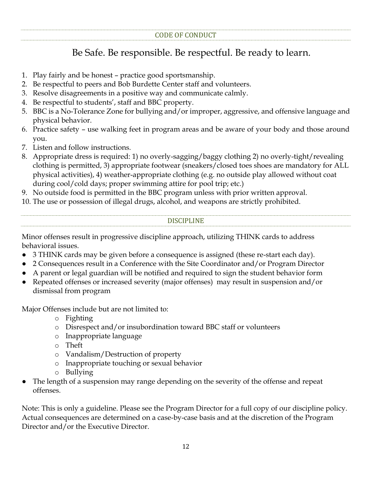## Be Safe. Be responsible. Be respectful. Be ready to learn.

- 1. Play fairly and be honest practice good sportsmanship.
- 2. Be respectful to peers and Bob Burdette Center staff and volunteers.
- 3. Resolve disagreements in a positive way and communicate calmly.
- 4. Be respectful to students', staff and BBC property.
- 5. BBC is a No-Tolerance Zone for bullying and/or improper, aggressive, and offensive language and physical behavior.
- 6. Practice safety use walking feet in program areas and be aware of your body and those around you.
- 7. Listen and follow instructions.
- 8. Appropriate dress is required: 1) no overly-sagging/baggy clothing 2) no overly-tight/revealing clothing is permitted, 3) appropriate footwear (sneakers/closed toes shoes are mandatory for ALL physical activities), 4) weather-appropriate clothing (e.g. no outside play allowed without coat during cool/cold days; proper swimming attire for pool trip; etc.)
- 9. No outside food is permitted in the BBC program unless with prior written approval.

<span id="page-13-0"></span>10. The use or possession of illegal drugs, alcohol, and weapons are strictly prohibited.

#### DISCIPLINE

Minor offenses result in progressive discipline approach, utilizing THINK cards to address behavioral issues.

- 3 THINK cards may be given before a consequence is assigned (these re-start each day).
- 2 Consequences result in a Conference with the Site Coordinator and/or Program Director
- A parent or legal guardian will be notified and required to sign the student behavior form
- Repeated offenses or increased severity (major offenses) may result in suspension and/or dismissal from program

Major Offenses include but are not limited to:

- o Fighting
- o Disrespect and/or insubordination toward BBC staff or volunteers
- o Inappropriate language
- o Theft
- o Vandalism/Destruction of property
- o Inappropriate touching or sexual behavior
- o Bullying
- The length of a suspension may range depending on the severity of the offense and repeat offenses.

Note: This is only a guideline. Please see the Program Director for a full copy of our discipline policy. Actual consequences are determined on a case-by-case basis and at the discretion of the Program Director and/or the Executive Director.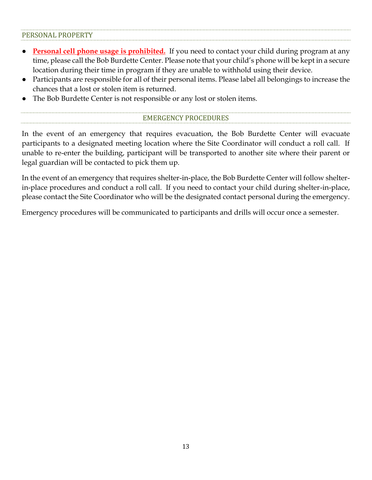#### <span id="page-14-0"></span>PERSONAL PROPERTY

- **Personal cell phone usage is prohibited.** If you need to contact your child during program at any time, please call the Bob Burdette Center. Please note that your child's phone will be kept in a secure location during their time in program if they are unable to withhold using their device.
- Participants are responsible for all of their personal items. Please label all belongings to increase the chances that a lost or stolen item is returned.
- <span id="page-14-1"></span>The Bob Burdette Center is not responsible or any lost or stolen items.

#### EMERGENCY PROCEDURES

In the event of an emergency that requires evacuation, the Bob Burdette Center will evacuate participants to a designated meeting location where the Site Coordinator will conduct a roll call. If unable to re-enter the building, participant will be transported to another site where their parent or legal guardian will be contacted to pick them up.

In the event of an emergency that requires shelter-in-place, the Bob Burdette Center will follow shelterin-place procedures and conduct a roll call. If you need to contact your child during shelter-in-place, please contact the Site Coordinator who will be the designated contact personal during the emergency.

Emergency procedures will be communicated to participants and drills will occur once a semester.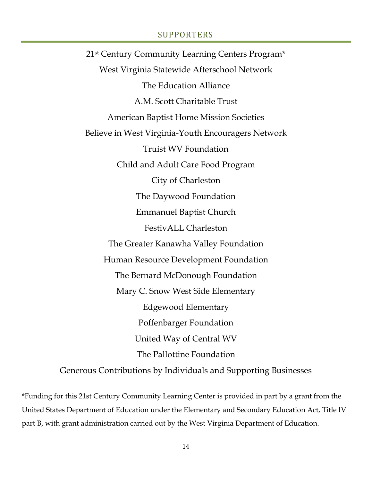#### SUPPORTERS

<span id="page-15-0"></span>21st Century Community Learning Centers Program\* West Virginia Statewide Afterschool Network The Education Alliance A.M. Scott Charitable Trust American Baptist Home Mission Societies Believe in West Virginia-Youth Encouragers Network Truist WV Foundation Child and Adult Care Food Program City of Charleston The Daywood Foundation Emmanuel Baptist Church FestivALL Charleston The Greater Kanawha Valley Foundation Human Resource Development Foundation The Bernard McDonough Foundation Mary C. Snow West Side Elementary Edgewood Elementary Poffenbarger Foundation United Way of Central WV The Pallottine Foundation Generous Contributions by Individuals and Supporting Businesses

\*Funding for this 21st Century Community Learning Center is provided in part by a grant from the United States Department of Education under the Elementary and Secondary Education Act, Title IV part B, with grant administration carried out by the West Virginia Department of Education.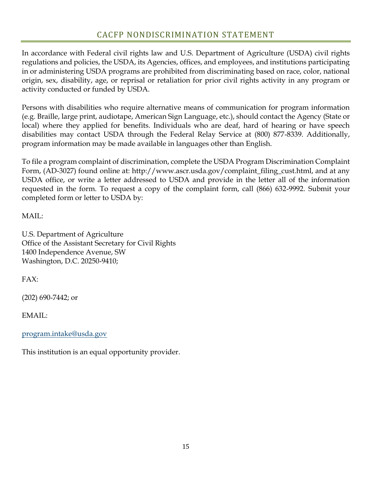<span id="page-16-0"></span>In accordance with Federal civil rights law and U.S. Department of Agriculture (USDA) civil rights regulations and policies, the USDA, its Agencies, offices, and employees, and institutions participating in or administering USDA programs are prohibited from discriminating based on race, color, national origin, sex, disability, age, or reprisal or retaliation for prior civil rights activity in any program or activity conducted or funded by USDA.

Persons with disabilities who require alternative means of communication for program information (e.g. Braille, large print, audiotape, American Sign Language, etc.), should contact the Agency (State or local) where they applied for benefits. Individuals who are deaf, hard of hearing or have speech disabilities may contact USDA through the Federal Relay Service at (800) 877-8339. Additionally, program information may be made available in languages other than English.

To file a program complaint of discrimination, complete the USDA Program Discrimination Complaint Form, (AD-3027) found online at: http://www.ascr.usda.gov/complaint\_filing\_cust.html, and at any USDA office, or write a letter addressed to USDA and provide in the letter all of the information requested in the form. To request a copy of the complaint form, call (866) 632-9992. Submit your completed form or letter to USDA by:

MAIL:

U.S. Department of Agriculture Office of the Assistant Secretary for Civil Rights 1400 Independence Avenue, SW Washington, D.C. 20250-9410;

FAX:

(202) 690-7442; or

EMAIL:

[program.intake@usda.gov](mailto:program.intake@usda.gov)

This institution is an equal opportunity provider.